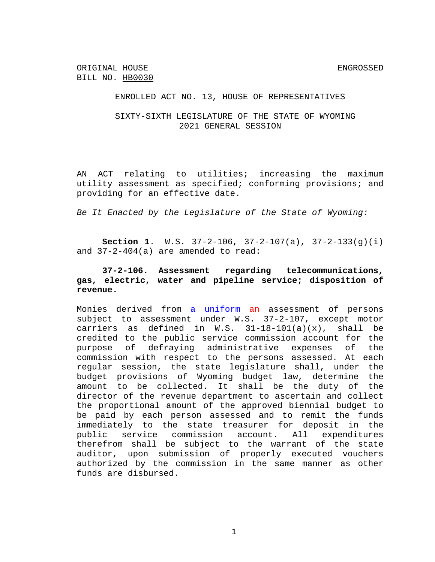ORIGINAL HOUSE ENGROSSED BILL NO. HB0030

ENROLLED ACT NO. 13, HOUSE OF REPRESENTATIVES

SIXTY-SIXTH LEGISLATURE OF THE STATE OF WYOMING 2021 GENERAL SESSION

AN ACT relating to utilities; increasing the maximum utility assessment as specified; conforming provisions; and providing for an effective date.

*Be It Enacted by the Legislature of the State of Wyoming:*

**Section 1**. W.S. 37-2-106, 37-2-107(a), 37-2-133(g)(i) and 37-2-404(a) are amended to read:

## **37-2-106. Assessment regarding telecommunications, gas, electric, water and pipeline service; disposition of revenue.**

Monies derived from a uniform an assessment of persons subject to assessment under W.S. 37-2-107, except motor carriers as defined in W.S.  $31-18-101(a)(x)$ , shall be credited to the public service commission account for the purpose of defraying administrative expenses of the commission with respect to the persons assessed. At each regular session, the state legislature shall, under the budget provisions of Wyoming budget law, determine the amount to be collected. It shall be the duty of the director of the revenue department to ascertain and collect the proportional amount of the approved biennial budget to be paid by each person assessed and to remit the funds immediately to the state treasurer for deposit in the public service commission account. All expenditures therefrom shall be subject to the warrant of the state auditor, upon submission of properly executed vouchers authorized by the commission in the same manner as other funds are disbursed.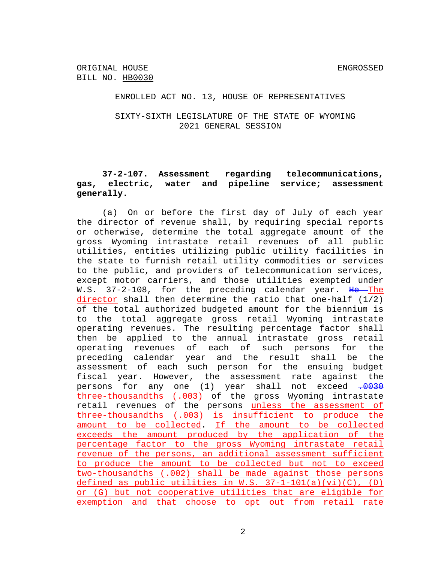ORIGINAL HOUSE ENGROSSED BILL NO. HB0030

### ENROLLED ACT NO. 13, HOUSE OF REPRESENTATIVES

SIXTY-SIXTH LEGISLATURE OF THE STATE OF WYOMING 2021 GENERAL SESSION

# **37-2-107. Assessment regarding telecommunications, gas, electric, water and pipeline service; assessment generally.**

(a) On or before the first day of July of each year the director of revenue shall, by requiring special reports or otherwise, determine the total aggregate amount of the gross Wyoming intrastate retail revenues of all public utilities, entities utilizing public utility facilities in the state to furnish retail utility commodities or services to the public, and providers of telecommunication services, except motor carriers, and those utilities exempted under W.S. 37-2-108, for the preceding calendar year. He The director shall then determine the ratio that one-half (1/2) of the total authorized budgeted amount for the biennium is to the total aggregate gross retail Wyoming intrastate operating revenues. The resulting percentage factor shall then be applied to the annual intrastate gross retail operating revenues of each of such persons for the preceding calendar year and the result shall be the assessment of each such person for the ensuing budget fiscal year. However, the assessment rate against the persons for any one (1) year shall not exceed  $.0030$ three-thousandths (.003) of the gross Wyoming intrastate retail revenues of the persons unless the assessment of three-thousandths (.003) is insufficient to produce the amount to be collected. If the amount to be collected exceeds the amount produced by the application of the percentage factor to the gross Wyoming intrastate retail revenue of the persons, an additional assessment sufficient to produce the amount to be collected but not to exceed two-thousandths (.002) shall be made against those persons defined as public utilities in W.S.  $37-1-101(a)(vi)(C)$ , (D) or (G) but not cooperative utilities that are eligible for exemption and that choose to opt out from retail rate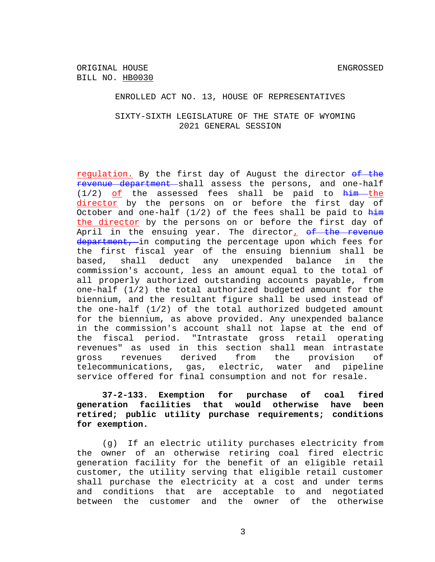#### ENROLLED ACT NO. 13, HOUSE OF REPRESENTATIVES

## SIXTY-SIXTH LEGISLATURE OF THE STATE OF WYOMING 2021 GENERAL SESSION

regulation. By the first day of August the director of the revenue department shall assess the persons, and one-half  $(1/2)$  of the assessed fees shall be paid to  $\frac{him - the}{$ director by the persons on or before the first day of October and one-half  $(1/2)$  of the fees shall be paid to  $\frac{h\dot{+}m}{h\dot{+}m}$ the director by the persons on or before the first day of April in the ensuing year. The director<sub> $I$ </sub> of the revenue department, in computing the percentage upon which fees for the first fiscal year of the ensuing biennium shall be based, shall deduct any unexpended balance in the commission's account, less an amount equal to the total of all properly authorized outstanding accounts payable, from one-half (1/2) the total authorized budgeted amount for the biennium, and the resultant figure shall be used instead of the one-half (1/2) of the total authorized budgeted amount for the biennium, as above provided. Any unexpended balance in the commission's account shall not lapse at the end of the fiscal period. "Intrastate gross retail operating revenues" as used in this section shall mean intrastate gross revenues derived from the provision of telecommunications, gas, electric, water and pipeline service offered for final consumption and not for resale.

# **37-2-133. Exemption for purchase of coal fired generation facilities that would otherwise have been retired; public utility purchase requirements; conditions for exemption.**

(g) If an electric utility purchases electricity from the owner of an otherwise retiring coal fired electric generation facility for the benefit of an eligible retail customer, the utility serving that eligible retail customer shall purchase the electricity at a cost and under terms and conditions that are acceptable to and negotiated between the customer and the owner of the otherwise

3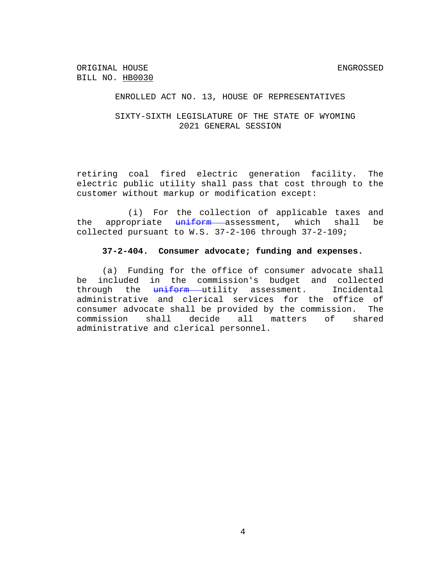ORIGINAL HOUSE ENGROSSED BILL NO. HB0030

### ENROLLED ACT NO. 13, HOUSE OF REPRESENTATIVES

## SIXTY-SIXTH LEGISLATURE OF THE STATE OF WYOMING 2021 GENERAL SESSION

retiring coal fired electric generation facility. The electric public utility shall pass that cost through to the customer without markup or modification except:

(i) For the collection of applicable taxes and the appropriate uniform assessment, which shall be collected pursuant to W.S. 37-2-106 through 37-2-109;

#### **37-2-404. Consumer advocate; funding and expenses.**

(a) Funding for the office of consumer advocate shall be included in the commission's budget and collected through the  $\frac{uniform}{unifform}$  utility assessment. Incidental administrative and clerical services for the office of consumer advocate shall be provided by the commission. The commission shall decide all matters of shared administrative and clerical personnel.